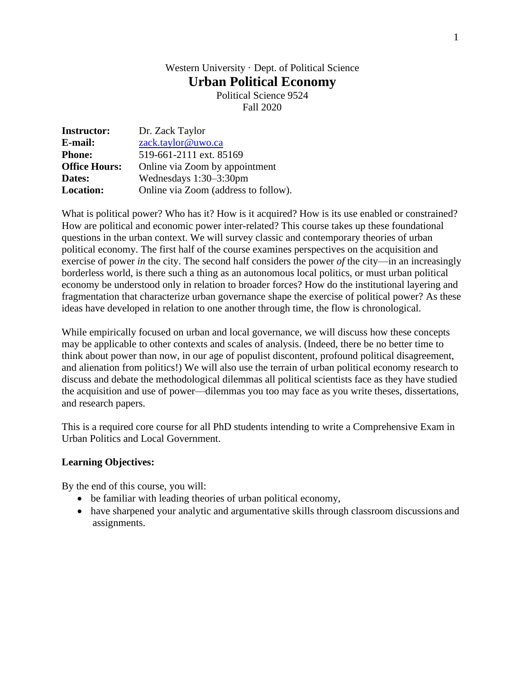# Western University · Dept. of Political Science **Urban Political Economy**

Political Science 9524 Fall 2020

| <b>Instructor:</b>   | Dr. Zack Taylor                      |
|----------------------|--------------------------------------|
| E-mail:              | zack.taylor@uwo.ca                   |
| <b>Phone:</b>        | 519-661-2111 ext. 85169              |
| <b>Office Hours:</b> | Online via Zoom by appointment       |
| Dates:               | Wednesdays $1:30-3:30$ pm            |
| <b>Location:</b>     | Online via Zoom (address to follow). |

What is political power? Who has it? How is it acquired? How is its use enabled or constrained? How are political and economic power inter-related? This course takes up these foundational questions in the urban context. We will survey classic and contemporary theories of urban political economy. The first half of the course examines perspectives on the acquisition and exercise of power *in* the city. The second half considers the power *of* the city—in an increasingly borderless world, is there such a thing as an autonomous local politics, or must urban political economy be understood only in relation to broader forces? How do the institutional layering and fragmentation that characterize urban governance shape the exercise of political power? As these ideas have developed in relation to one another through time, the flow is chronological.

While empirically focused on urban and local governance, we will discuss how these concepts may be applicable to other contexts and scales of analysis. (Indeed, there be no better time to think about power than now, in our age of populist discontent, profound political disagreement, and alienation from politics!) We will also use the terrain of urban political economy research to discuss and debate the methodological dilemmas all political scientists face as they have studied the acquisition and use of power—dilemmas you too may face as you write theses, dissertations, and research papers.

This is a required core course for all PhD students intending to write a Comprehensive Exam in Urban Politics and Local Government.

## **Learning Objectives:**

By the end of this course, you will:

- be familiar with leading theories of urban political economy,
- have sharpened your analytic and argumentative skills through classroom discussions and assignments.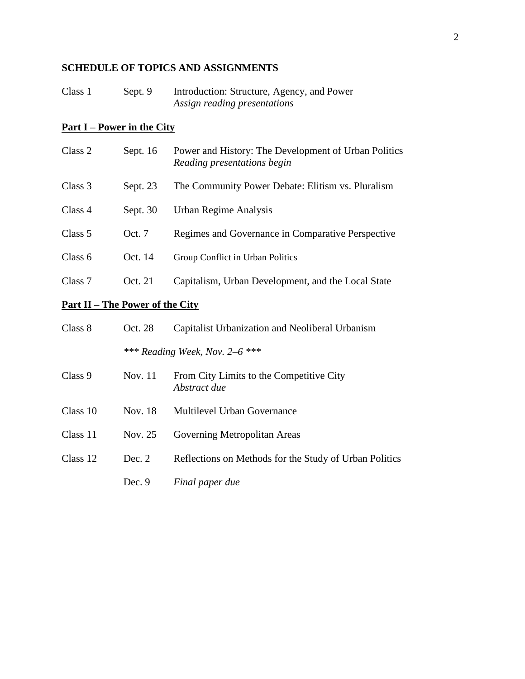## **SCHEDULE OF TOPICS AND ASSIGNMENTS**

| Class 1 | Sept. 9 | Introduction: Structure, Agency, and Power |
|---------|---------|--------------------------------------------|
|         |         | Assign reading presentations               |

## **Part I – Power in the City**

| Class 2 | Sept. $16$ | Power and History: The Development of Urban Politics<br>Reading presentations begin |
|---------|------------|-------------------------------------------------------------------------------------|
| Class 3 | Sept. 23   | The Community Power Debate: Elitism vs. Pluralism                                   |
| Class 4 | Sept. $30$ | Urban Regime Analysis                                                               |
| Class 5 | Oct. 7     | Regimes and Governance in Comparative Perspective                                   |
| Class 6 | Oct. 14    | Group Conflict in Urban Politics                                                    |
| Class 7 | Oct. 21    | Capitalism, Urban Development, and the Local State                                  |
|         |            |                                                                                     |

# **Part II – The Power of the City**

| Class 8  | Oct. 28 | Capitalist Urbanization and Neoliberal Urbanism          |
|----------|---------|----------------------------------------------------------|
|          |         | *** Reading Week, Nov. 2–6 ***                           |
| Class 9  | Nov. 11 | From City Limits to the Competitive City<br>Abstract due |
| Class 10 | Nov. 18 | Multilevel Urban Governance                              |
| Class 11 | Nov. 25 | Governing Metropolitan Areas                             |
| Class 12 | Dec. 2  | Reflections on Methods for the Study of Urban Politics   |
|          | Dec. 9  | Final paper due                                          |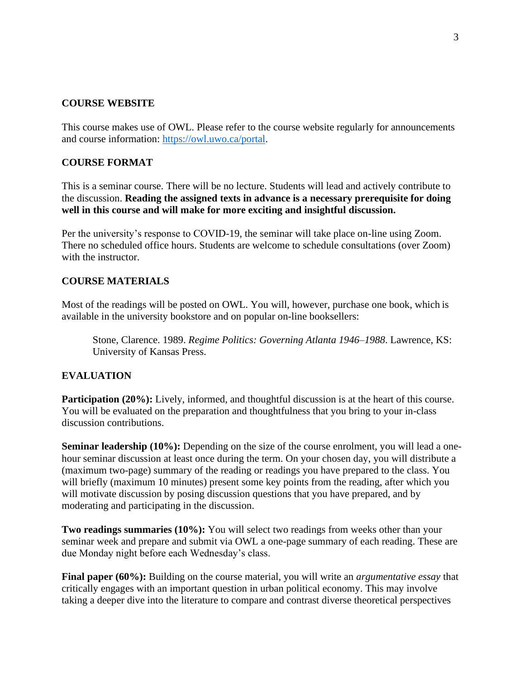## **COURSE WEBSITE**

This course makes use of OWL. Please refer to the course website regularly for announcements and course information: https://owl.uwo.ca/portal.

## **COURSE FORMAT**

This is a seminar course. There will be no lecture. Students will lead and actively contribute to the discussion. **Reading the assigned texts in advance is a necessary prerequisite for doing well in this course and will make for more exciting and insightful discussion.**

Per the university's response to COVID-19, the seminar will take place on-line using Zoom. There no scheduled office hours. Students are welcome to schedule consultations (over Zoom) with the instructor

#### **COURSE MATERIALS**

Most of the readings will be posted on OWL. You will, however, purchase one book, which is available in the university bookstore and on popular on-line booksellers:

Stone, Clarence. 1989. *Regime Politics: Governing Atlanta 1946–1988*. Lawrence, KS: University of Kansas Press.

#### **EVALUATION**

**Participation (20%):** Lively, informed, and thoughtful discussion is at the heart of this course. You will be evaluated on the preparation and thoughtfulness that you bring to your in-class discussion contributions.

**Seminar leadership (10%):** Depending on the size of the course enrolment, you will lead a onehour seminar discussion at least once during the term. On your chosen day, you will distribute a (maximum two-page) summary of the reading or readings you have prepared to the class. You will briefly (maximum 10 minutes) present some key points from the reading, after which you will motivate discussion by posing discussion questions that you have prepared, and by moderating and participating in the discussion.

**Two readings summaries (10%):** You will select two readings from weeks other than your seminar week and prepare and submit via OWL a one-page summary of each reading. These are due Monday night before each Wednesday's class.

**Final paper (60%):** Building on the course material, you will write an *argumentative essay* that critically engages with an important question in urban political economy. This may involve taking a deeper dive into the literature to compare and contrast diverse theoretical perspectives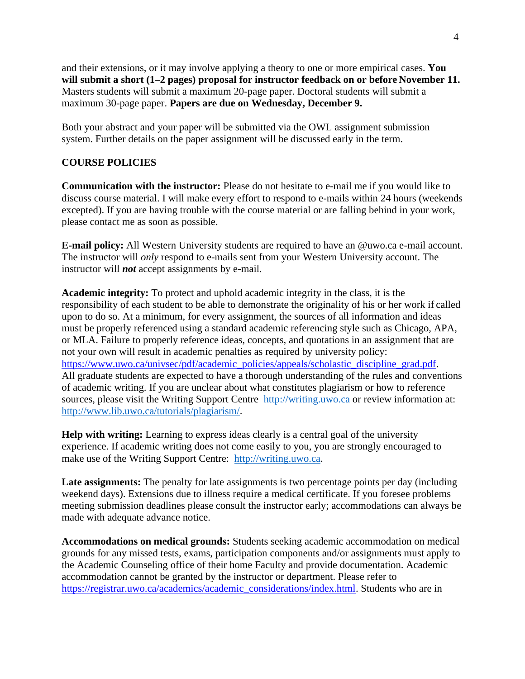and their extensions, or it may involve applying a theory to one or more empirical cases. **You will submit a short (1–2 pages) proposal for instructor feedback on or before November 11.**  Masters students will submit a maximum 20-page paper. Doctoral students will submit a maximum 30-page paper. **Papers are due on Wednesday, December 9.**

Both your abstract and your paper will be submitted via the OWL assignment submission system. Further details on the paper assignment will be discussed early in the term.

#### **COURSE POLICIES**

**Communication with the instructor:** Please do not hesitate to e-mail me if you would like to discuss course material. I will make every effort to respond to e-mails within 24 hours (weekends excepted). If you are having trouble with the course material or are falling behind in your work, please contact me as soon as possible.

**E-mail policy:** All Western University students are required to have an @uwo.ca e-mail account. The instructor will *only* respond to e-mails sent from your Western University account. The instructor will *not* accept assignments by e-mail.

**Academic integrity:** To protect and uphold academic integrity in the class, it is the responsibility of each student to be able to demonstrate the originality of his or her work if called upon to do so. At a minimum, for every assignment, the sources of all information and ideas must be properly referenced using a standard academic referencing style such as Chicago, APA, or MLA. Failure to properly reference ideas, concepts, and quotations in an assignment that are not your own will result in academic penalties as required by university policy: [https://www.uwo.ca/univsec/pdf/academic\\_policies/appeals/scholastic\\_discipline\\_grad.pdf.](https://www.uwo.ca/univsec/pdf/academic_policies/appeals/scholastic_discipline_grad.pdf) All graduate students are expected to have a thorough understanding of the rules and conventions of academic writing. If you are unclear about what constitutes plagiarism or how to reference sources, please visit the Writing Support Centre [http://writing.uwo.ca](http://www.sdc.uwo.ca/writing/) or review information at: [http://www.lib.uwo.ca/tutorials/plagiarism/.](http://www.lib.uwo.ca/tutorials/plagiarism/)

**Help with writing:** Learning to express ideas clearly is a central goal of the university experience. If academic writing does not come easily to you, you are strongly encouraged to make use of the Writing Support Centre: [http://writing.uwo.ca.](http://www.sdc.uwo.ca/writing/)

**Late assignments:** The penalty for late assignments is two percentage points per day (including weekend days). Extensions due to illness require a medical certificate. If you foresee problems meeting submission deadlines please consult the instructor early; accommodations can always be made with adequate advance notice.

**Accommodations on medical grounds:** Students seeking academic accommodation on medical grounds for any missed tests, exams, participation components and/or assignments must apply to the Academic Counseling office of their home Faculty and provide documentation. Academic accommodation cannot be granted by the instructor or department. Please refer to [https://registrar.uwo.ca/academics/academic\\_considerations/index.html.](https://registrar.uwo.ca/academics/academic_considerations/index.html) Students who are in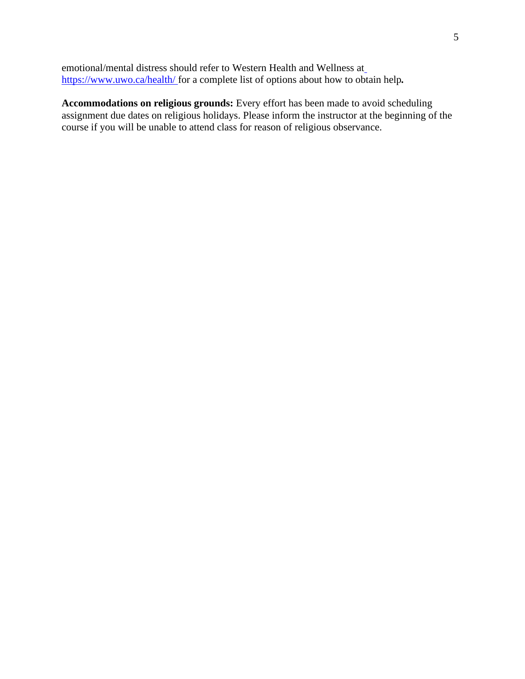emotional/mental distress should refer to Western Health and Wellness a[t](https://www.uwo.ca/health/) [https://www.uwo.ca/health/ f](https://www.uwo.ca/health/)or a complete list of options about how to obtain help*.*

**Accommodations on religious grounds:** Every effort has been made to avoid scheduling assignment due dates on religious holidays. Please inform the instructor at the beginning of the course if you will be unable to attend class for reason of religious observance.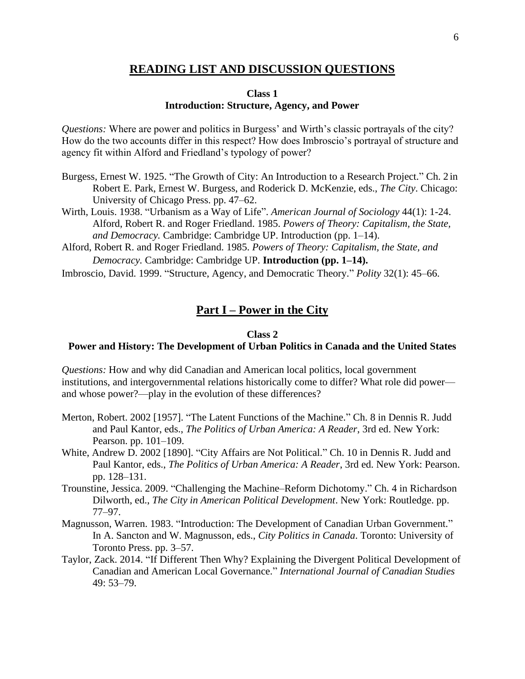## **READING LIST AND DISCUSSION QUESTIONS**

#### **Class 1 Introduction: Structure, Agency, and Power**

*Questions:* Where are power and politics in Burgess' and Wirth's classic portrayals of the city? How do the two accounts differ in this respect? How does Imbroscio's portrayal of structure and agency fit within Alford and Friedland's typology of power?

- Burgess, Ernest W. 1925. "The Growth of City: An Introduction to a Research Project." Ch. 2 in Robert E. Park, Ernest W. Burgess, and Roderick D. McKenzie, eds., *The City*. Chicago: University of Chicago Press. pp. 47–62.
- Wirth, Louis. 1938. "Urbanism as a Way of Life". *American Journal of Sociology* 44(1): 1-24. Alford, Robert R. and Roger Friedland. 1985. *Powers of Theory: Capitalism, the State, and Democracy.* Cambridge: Cambridge UP. Introduction (pp. 1–14).
- Alford, Robert R. and Roger Friedland. 1985. *Powers of Theory: Capitalism, the State, and Democracy.* Cambridge: Cambridge UP. **Introduction (pp. 1–14).**

Imbroscio, David. 1999. "Structure, Agency, and Democratic Theory." *Polity* 32(1): 45–66.

## **Part I – Power in the City**

#### **Class 2**

## **Power and History: The Development of Urban Politics in Canada and the United States**

*Questions:* How and why did Canadian and American local politics, local government institutions, and intergovernmental relations historically come to differ? What role did power and whose power?—play in the evolution of these differences?

- Merton, Robert. 2002 [1957]. "The Latent Functions of the Machine." Ch. 8 in Dennis R. Judd and Paul Kantor, eds., *The Politics of Urban America: A Reader*, 3rd ed. New York: Pearson. pp. 101–109.
- White, Andrew D. 2002 [1890]. "City Affairs are Not Political." Ch. 10 in Dennis R. Judd and Paul Kantor, eds., *The Politics of Urban America: A Reader*, 3rd ed. New York: Pearson. pp. 128–131.
- Trounstine, Jessica. 2009. "Challenging the Machine–Reform Dichotomy." Ch. 4 in Richardson Dilworth, ed., *The City in American Political Development*. New York: Routledge. pp. 77–97.
- Magnusson, Warren. 1983. "Introduction: The Development of Canadian Urban Government." In A. Sancton and W. Magnusson, eds., *City Politics in Canada*. Toronto: University of Toronto Press. pp. 3–57.
- Taylor, Zack. 2014. "If Different Then Why? Explaining the Divergent Political Development of Canadian and American Local Governance." *International Journal of Canadian Studies*  49: 53–79.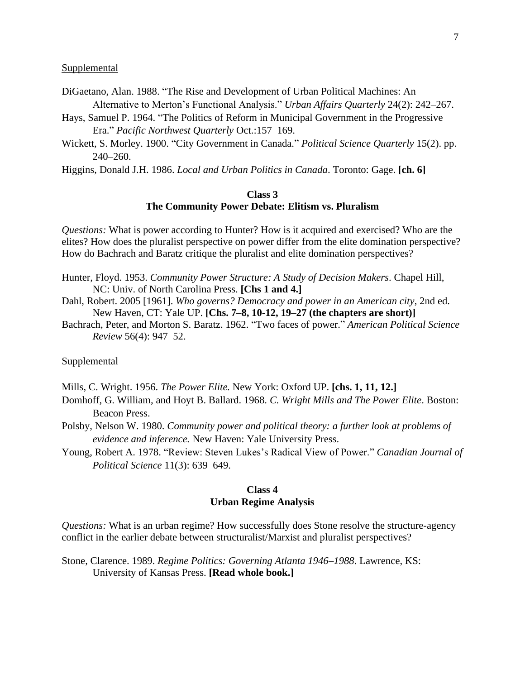#### **Supplemental**

- DiGaetano, Alan. 1988. "The Rise and Development of Urban Political Machines: An Alternative to Merton's Functional Analysis." *Urban Affairs Quarterly* 24(2): 242–267.
- Hays, Samuel P. 1964. "The Politics of Reform in Municipal Government in the Progressive Era." *Pacific Northwest Quarterly* Oct.:157–169.
- Wickett, S. Morley. 1900. "City Government in Canada." *Political Science Quarterly* 15(2). pp. 240–260.
- Higgins, Donald J.H. 1986. *Local and Urban Politics in Canada*. Toronto: Gage. **[ch. 6]**

#### **Class 3 The Community Power Debate: Elitism vs. Pluralism**

*Questions:* What is power according to Hunter? How is it acquired and exercised? Who are the elites? How does the pluralist perspective on power differ from the elite domination perspective? How do Bachrach and Baratz critique the pluralist and elite domination perspectives?

- Hunter, Floyd. 1953. *Community Power Structure: A Study of Decision Makers*. Chapel Hill, NC: Univ. of North Carolina Press. **[Chs 1 and 4.]**
- Dahl, Robert. 2005 [1961]. *Who governs? Democracy and power in an American city*, 2nd ed. New Haven, CT: Yale UP. **[Chs. 7–8, 10-12, 19–27 (the chapters are short)]**
- Bachrach, Peter, and Morton S. Baratz. 1962. "Two faces of power." *American Political Science Review* 56(4): 947–52.

#### **Supplemental**

- Mills, C. Wright. 1956. *The Power Elite.* New York: Oxford UP. **[chs. 1, 11, 12.]**
- Domhoff, G. William, and Hoyt B. Ballard. 1968. *C. Wright Mills and The Power Elite*. Boston: Beacon Press.
- Polsby, Nelson W. 1980. *Community power and political theory: a further look at problems of evidence and inference.* New Haven: Yale University Press.
- Young, Robert A. 1978. "Review: Steven Lukes's Radical View of Power." *Canadian Journal of Political Science* 11(3): 639–649.

#### **Class 4 Urban Regime Analysis**

*Questions:* What is an urban regime? How successfully does Stone resolve the structure-agency conflict in the earlier debate between structuralist/Marxist and pluralist perspectives?

Stone, Clarence. 1989. *Regime Politics: Governing Atlanta 1946–1988*. Lawrence, KS: University of Kansas Press. **[Read whole book.]**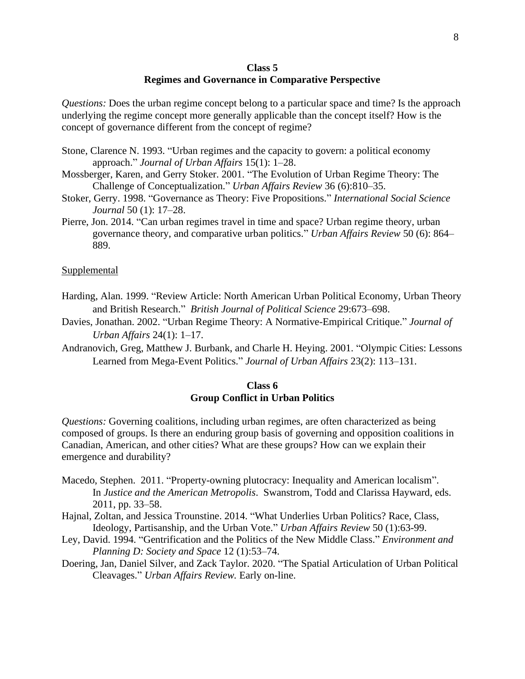#### **Class 5 Regimes and Governance in Comparative Perspective**

*Questions:* Does the urban regime concept belong to a particular space and time? Is the approach underlying the regime concept more generally applicable than the concept itself? How is the concept of governance different from the concept of regime?

- Stone, Clarence N. 1993. "Urban regimes and the capacity to govern: a political economy approach." *Journal of Urban Affairs* 15(1): 1–28.
- Mossberger, Karen, and Gerry Stoker. 2001. "The Evolution of Urban Regime Theory: The Challenge of Conceptualization." *Urban Affairs Review* 36 (6):810–35.
- Stoker, Gerry. 1998. "Governance as Theory: Five Propositions." *International Social Science Journal* 50 (1): 17–28.
- Pierre, Jon. 2014. "Can urban regimes travel in time and space? Urban regime theory, urban governance theory, and comparative urban politics." *Urban Affairs Review* 50 (6): 864– 889.

#### Supplemental

- Harding, Alan. 1999. "Review Article: North American Urban Political Economy, Urban Theory and British Research." *British Journal of Political Science* 29:673–698.
- Davies, Jonathan. 2002. "Urban Regime Theory: A Normative-Empirical Critique." *Journal of Urban Affairs* 24(1): 1–17.
- Andranovich, Greg, Matthew J. Burbank, and Charle H. Heying. 2001. "Olympic Cities: Lessons Learned from Mega-Event Politics." *Journal of Urban Affairs* 23(2): 113–131.

#### **Class 6 Group Conflict in Urban Politics**

*Questions:* Governing coalitions, including urban regimes, are often characterized as being composed of groups. Is there an enduring group basis of governing and opposition coalitions in Canadian, American, and other cities? What are these groups? How can we explain their emergence and durability?

- Macedo, Stephen. 2011. "Property-owning plutocracy: Inequality and American localism". In *Justice and the American Metropolis*. Swanstrom, Todd and Clarissa Hayward, eds. 2011, pp. 33–58.
- Hajnal, Zoltan, and Jessica Trounstine. 2014. "What Underlies Urban Politics? Race, Class, Ideology, Partisanship, and the Urban Vote." *Urban Affairs Review* 50 (1):63-99.
- Ley, David. 1994. "Gentrification and the Politics of the New Middle Class." *Environment and Planning D: Society and Space* 12 (1):53–74.
- Doering, Jan, Daniel Silver, and Zack Taylor. 2020. "The Spatial Articulation of Urban Political Cleavages." *Urban Affairs Review.* Early on-line.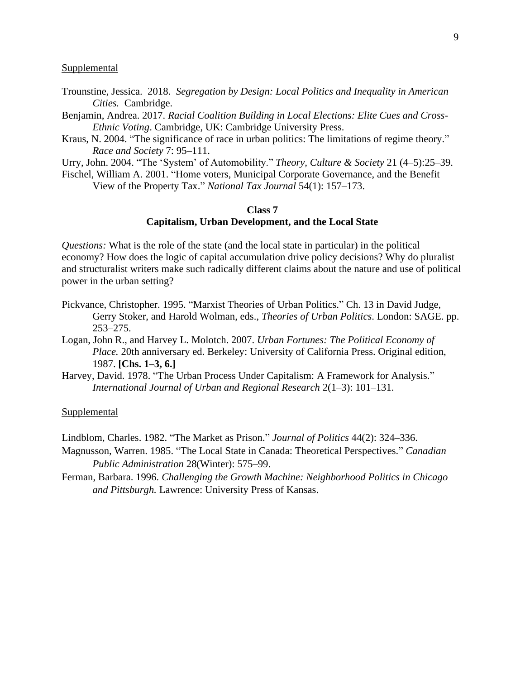#### **Supplemental**

- Trounstine, Jessica. 2018. *Segregation by Design: Local Politics and Inequality in American Cities.* Cambridge.
- Benjamin, Andrea. 2017. *Racial Coalition Building in Local Elections: Elite Cues and Cross-Ethnic Voting*. Cambridge, UK: Cambridge University Press.
- Kraus, N. 2004. "The significance of race in urban politics: The limitations of regime theory." *Race and Society* 7: 95–111.

Urry, John. 2004. "The 'System' of Automobility." *Theory, Culture & Society* 21 (4–5):25–39.

Fischel, William A. 2001. "Home voters, Municipal Corporate Governance, and the Benefit View of the Property Tax." *National Tax Journal* 54(1): 157–173.

#### **Class 7 Capitalism, Urban Development, and the Local State**

*Questions:* What is the role of the state (and the local state in particular) in the political economy? How does the logic of capital accumulation drive policy decisions? Why do pluralist and structuralist writers make such radically different claims about the nature and use of political power in the urban setting?

- Pickvance, Christopher. 1995. "Marxist Theories of Urban Politics." Ch. 13 in David Judge, Gerry Stoker, and Harold Wolman, eds., *Theories of Urban Politics*. London: SAGE. pp. 253–275.
- Logan, John R., and Harvey L. Molotch. 2007. *Urban Fortunes: The Political Economy of Place.* 20th anniversary ed. Berkeley: University of California Press. Original edition, 1987. **[Chs. 1–3, 6.]**
- Harvey, David. 1978. "The Urban Process Under Capitalism: A Framework for Analysis." *International Journal of Urban and Regional Research* 2(1–3): 101–131.

#### Supplemental

Lindblom, Charles. 1982. "The Market as Prison." *Journal of Politics* 44(2): 324–336.

Magnusson, Warren. 1985. "The Local State in Canada: Theoretical Perspectives." *Canadian Public Administration* 28(Winter): 575–99.

Ferman, Barbara. 1996. *Challenging the Growth Machine: Neighborhood Politics in Chicago and Pittsburgh.* Lawrence: University Press of Kansas.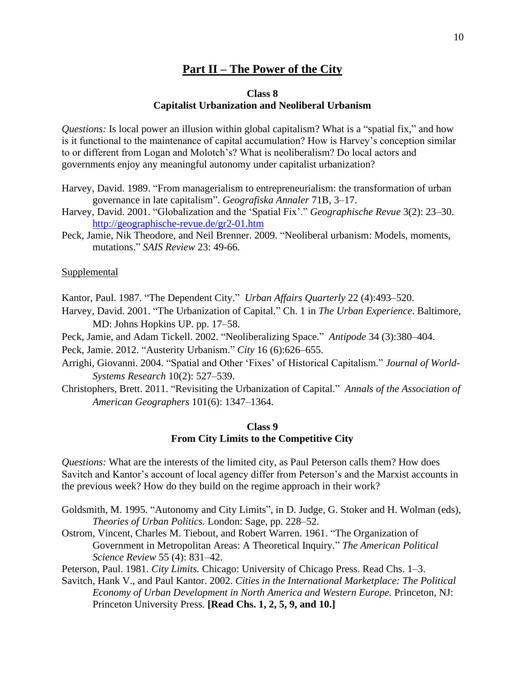## **Part II – The Power of the City**

#### **Class 8 Capitalist Urbanization and Neoliberal Urbanism**

*Questions:* Is local power an illusion within global capitalism? What is a "spatial fix," and how is it functional to the maintenance of capital accumulation? How is Harvey's conception similar to or different from Logan and Molotch's? What is neoliberalism? Do local actors and governments enjoy any meaningful autonomy under capitalist urbanization?

- Harvey, David. 1989. "From managerialism to entrepreneurialism: the transformation of urban governance in late capitalism". *Geografiska Annaler* 71B, 3–17.
- Harvey, David. 2001. "Globalization and the 'Spatial Fix'." *Geographische Revue* 3(2): 23–30. <http://geographische-revue.de/gr2-01.htm>
- Peck, Jamie, Nik Theodore, and Neil Brenner. 2009. "Neoliberal urbanism: Models, moments, mutations." *SAIS Review* 23: 49-66.

#### Supplemental

Kantor, Paul. 1987. "The Dependent City." *Urban Affairs Quarterly* 22 (4):493–520.

- Harvey, David. 2001. "The Urbanization of Capital." Ch. 1 in *The Urban Experience*. Baltimore, MD: Johns Hopkins UP. pp. 17–58.
- Peck, Jamie, and Adam Tickell. 2002. "Neoliberalizing Space." *Antipode* 34 (3):380–404.

Peck, Jamie. 2012. "Austerity Urbanism." *City* 16 (6):626–655.

- Arrighi, Giovanni. 2004. "Spatial and Other 'Fixes' of Historical Capitalism." *Journal of World-Systems Research* 10(2): 527–539.
- Christophers, Brett. 2011. "Revisiting the Urbanization of Capital." *Annals of the Association of American Geographers* 101(6): 1347–1364.

#### **Class 9 From City Limits to the Competitive City**

*Questions:* What are the interests of the limited city, as Paul Peterson calls them? How does Savitch and Kantor's account of local agency differ from Peterson's and the Marxist accounts in the previous week? How do they build on the regime approach in their work?

- Goldsmith, M. 1995. "Autonomy and City Limits", in D. Judge, G. Stoker and H. Wolman (eds), *Theories of Urban Politics.* London: Sage, pp. 228–52.
- Ostrom, Vincent, Charles M. Tiebout, and Robert Warren. 1961. "The Organization of Government in Metropolitan Areas: A Theoretical Inquiry." *The American Political Science Review* 55 (4): 831–42.
- Peterson, Paul. 1981. *City Limits.* Chicago: University of Chicago Press. Read Chs. 1–3.

Savitch, Hank V., and Paul Kantor. 2002. *Cities in the International Marketplace: The Political Economy of Urban Development in North America and Western Europe.* Princeton, NJ: Princeton University Press. **[Read Chs. 1, 2, 5, 9, and 10.]**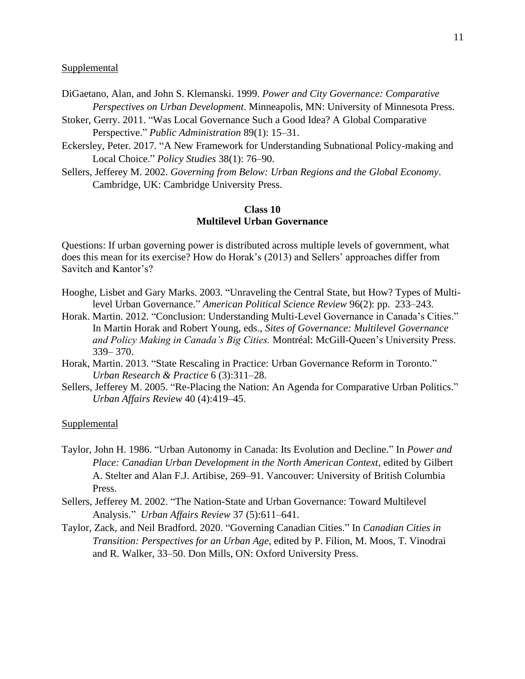#### **Supplemental**

- DiGaetano, Alan, and John S. Klemanski. 1999. *Power and City Governance: Comparative Perspectives on Urban Development*. Minneapolis, MN: University of Minnesota Press.
- Stoker, Gerry. 2011. "Was Local Governance Such a Good Idea? A Global Comparative Perspective." *Public Administration* 89(1): 15–31.
- Eckersley, Peter. 2017. "A New Framework for Understanding Subnational Policy-making and Local Choice." *Policy Studies* 38(1): 76–90.
- Sellers, Jefferey M. 2002. *Governing from Below: Urban Regions and the Global Economy*. Cambridge, UK: Cambridge University Press.

## **Class 10 Multilevel Urban Governance**

Questions: If urban governing power is distributed across multiple levels of government, what does this mean for its exercise? How do Horak's (2013) and Sellers' approaches differ from Savitch and Kantor's?

- Hooghe, Lisbet and Gary Marks. 2003. "Unraveling the Central State, but How? Types of Multilevel Urban Governance." *American Political Science Review* 96(2): pp. 233–243.
- Horak. Martin. 2012. "Conclusion: Understanding Multi-Level Governance in Canada's Cities." In Martin Horak and Robert Young, eds., *Sites of Governance: Multilevel Governance and Policy Making in Canada's Big Cities.* Montréal: McGill-Queen's University Press. 339– 370.
- Horak, Martin. 2013. "State Rescaling in Practice: Urban Governance Reform in Toronto." *Urban Research & Practice* 6 (3):311–28.
- Sellers, Jefferey M. 2005. "Re-Placing the Nation: An Agenda for Comparative Urban Politics." *Urban Affairs Review* 40 (4):419–45.

#### Supplemental

- Taylor, John H. 1986. "Urban Autonomy in Canada: Its Evolution and Decline." In *Power and Place: Canadian Urban Development in the North American Context*, edited by Gilbert A. Stelter and Alan F.J. Artibise, 269–91. Vancouver: University of British Columbia Press.
- Sellers, Jefferey M. 2002. "The Nation-State and Urban Governance: Toward Multilevel Analysis." *Urban Affairs Review* 37 (5):611–641.
- Taylor, Zack, and Neil Bradford. 2020. "Governing Canadian Cities." In *Canadian Cities in Transition: Perspectives for an Urban Age*, edited by P. Filion, M. Moos, T. Vinodrai and R. Walker, 33–50. Don Mills, ON: Oxford University Press.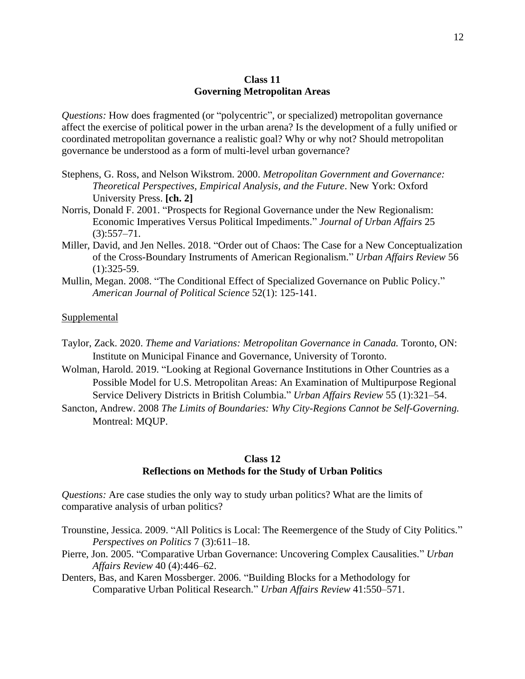#### **Class 11 Governing Metropolitan Areas**

*Questions:* How does fragmented (or "polycentric", or specialized) metropolitan governance affect the exercise of political power in the urban arena? Is the development of a fully unified or coordinated metropolitan governance a realistic goal? Why or why not? Should metropolitan governance be understood as a form of multi-level urban governance?

- Stephens, G. Ross, and Nelson Wikstrom. 2000. *Metropolitan Government and Governance: Theoretical Perspectives, Empirical Analysis, and the Future*. New York: Oxford University Press. **[ch. 2]**
- Norris, Donald F. 2001. "Prospects for Regional Governance under the New Regionalism: Economic Imperatives Versus Political Impediments." *Journal of Urban Affairs* 25  $(3):$ 557–71.
- Miller, David, and Jen Nelles. 2018. "Order out of Chaos: The Case for a New Conceptualization of the Cross-Boundary Instruments of American Regionalism." *Urban Affairs Review* 56 (1):325-59.
- Mullin, Megan. 2008. "The Conditional Effect of Specialized Governance on Public Policy." *American Journal of Political Science* 52(1): 125-141.

#### **Supplemental**

- Taylor, Zack. 2020. *Theme and Variations: Metropolitan Governance in Canada.* Toronto, ON: Institute on Municipal Finance and Governance, University of Toronto.
- Wolman, Harold. 2019. "Looking at Regional Governance Institutions in Other Countries as a Possible Model for U.S. Metropolitan Areas: An Examination of Multipurpose Regional Service Delivery Districts in British Columbia." *Urban Affairs Review* 55 (1):321–54.
- Sancton, Andrew. 2008 *The Limits of Boundaries: Why City-Regions Cannot be Self-Governing.* Montreal: MQUP.

#### **Class 12 Reflections on Methods for the Study of Urban Politics**

*Questions:* Are case studies the only way to study urban politics? What are the limits of comparative analysis of urban politics?

- Trounstine, Jessica. 2009. "All Politics is Local: The Reemergence of the Study of City Politics." *Perspectives on Politics* 7 (3):611–18.
- Pierre, Jon. 2005. "Comparative Urban Governance: Uncovering Complex Causalities." *Urban Affairs Review* 40 (4):446–62.
- Denters, Bas, and Karen Mossberger. 2006. "Building Blocks for a Methodology for Comparative Urban Political Research." *Urban Affairs Review* 41:550–571.